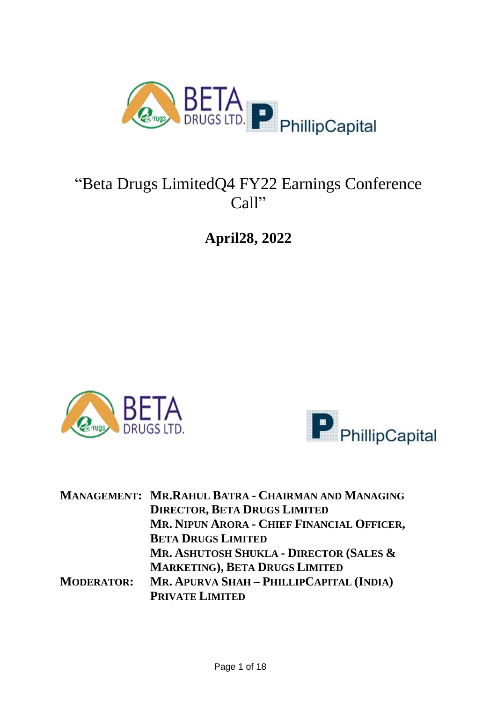

# "Beta Drugs LimitedQ4 FY22 Earnings Conference Call"

**April28, 2022**





|                   | MANAGEMENT: MR.RAHUL BATRA - CHAIRMAN AND MANAGING |
|-------------------|----------------------------------------------------|
|                   | <b>DIRECTOR, BETA DRUGS LIMITED</b>                |
|                   | MR. NIPUN ARORA - CHIEF FINANCIAL OFFICER,         |
|                   | <b>BETA DRUGS LIMITED</b>                          |
|                   | MR. ASHUTOSH SHUKLA - DIRECTOR (SALES &            |
|                   | <b>MARKETING), BETA DRUGS LIMITED</b>              |
| <b>MODERATOR:</b> | MR. APURVA SHAH - PHILLIPCAPITAL (INDIA)           |
|                   | <b>PRIVATE LIMITED</b>                             |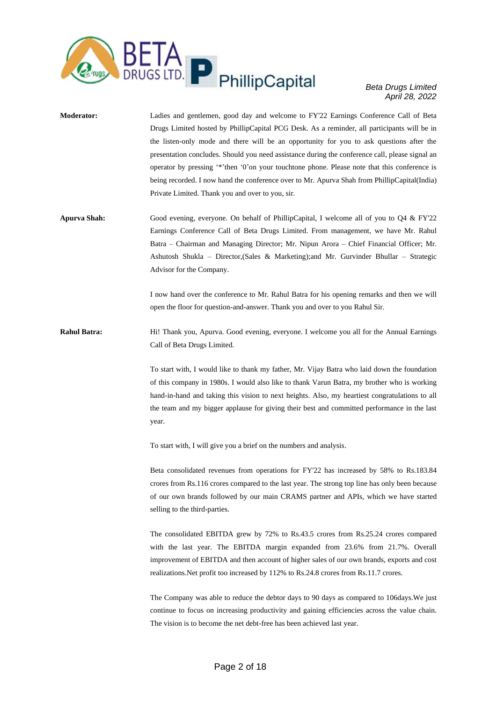

- **Moderator:** Ladies and gentlemen, good day and welcome to FY'22 Earnings Conference Call of Beta Drugs Limited hosted by PhillipCapital PCG Desk. As a reminder, all participants will be in the listen-only mode and there will be an opportunity for you to ask questions after the presentation concludes. Should you need assistance during the conference call, please signal an operator by pressing '\*'then '0'on your touchtone phone. Please note that this conference is being recorded. I now hand the conference over to Mr. Apurva Shah from PhillipCapital(India) Private Limited. Thank you and over to you, sir.
- **Apurva Shah:** Good evening, everyone. On behalf of PhillipCapital, I welcome all of you to Q4 & FY'22 Earnings Conference Call of Beta Drugs Limited. From management, we have Mr. Rahul Batra – Chairman and Managing Director; Mr. Nipun Arora – Chief Financial Officer; Mr. Ashutosh Shukla – Director,(Sales & Marketing);and Mr. Gurvinder Bhullar – Strategic Advisor for the Company.

I now hand over the conference to Mr. Rahul Batra for his opening remarks and then we will open the floor for question-and-answer. Thank you and over to you Rahul Sir.

**Rahul Batra:** Hi! Thank you, Apurva. Good evening, everyone. I welcome you all for the Annual Earnings Call of Beta Drugs Limited.

> To start with, I would like to thank my father, Mr. Vijay Batra who laid down the foundation of this company in 1980s. I would also like to thank Varun Batra, my brother who is working hand-in-hand and taking this vision to next heights. Also, my heartiest congratulations to all the team and my bigger applause for giving their best and committed performance in the last year.

To start with, I will give you a brief on the numbers and analysis.

Beta consolidated revenues from operations for FY'22 has increased by 58% to Rs.183.84 crores from Rs.116 crores compared to the last year. The strong top line has only been because of our own brands followed by our main CRAMS partner and APIs, which we have started selling to the third-parties.

The consolidated EBITDA grew by 72% to Rs.43.5 crores from Rs.25.24 crores compared with the last year. The EBITDA margin expanded from 23.6% from 21.7%. Overall improvement of EBITDA and then account of higher sales of our own brands, exports and cost realizations.Net profit too increased by 112% to Rs.24.8 crores from Rs.11.7 crores.

The Company was able to reduce the debtor days to 90 days as compared to 106days.We just continue to focus on increasing productivity and gaining efficiencies across the value chain. The vision is to become the net debt-free has been achieved last year.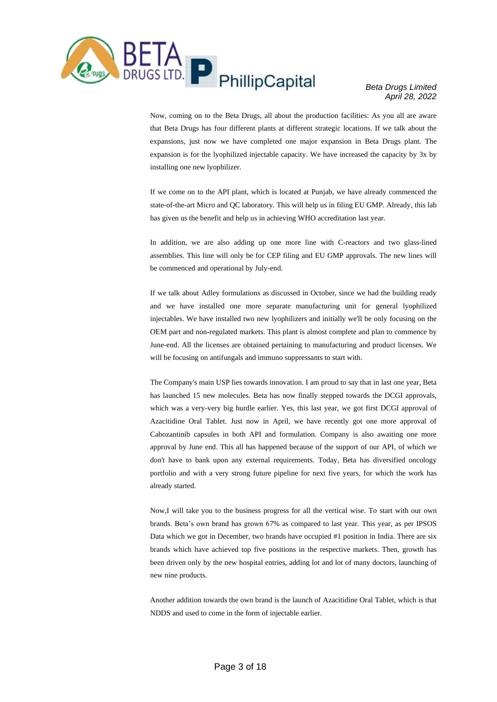

Now, coming on to the Beta Drugs, all about the production facilities: As you all are aware that Beta Drugs has four different plants at different strategic locations. If we talk about the expansions, just now we have completed one major expansion in Beta Drugs plant. The expansion is for the lyophilized injectable capacity. We have increased the capacity by 3x by installing one new lyophilizer.

If we come on to the API plant, which is located at Punjab, we have already commenced the state-of-the-art Micro and QC laboratory. This will help us in filing EU GMP. Already, this lab has given us the benefit and help us in achieving WHO accreditation last year.

In addition, we are also adding up one more line with C-reactors and two glass-lined assemblies. This line will only be for CEP filing and EU GMP approvals. The new lines will be commenced and operational by July-end.

If we talk about Adley formulations as discussed in October, since we had the building ready and we have installed one more separate manufacturing unit for general lyophilized injectables. We have installed two new lyophilizers and initially we'll be only focusing on the OEM part and non-regulated markets. This plant is almost complete and plan to commence by June-end. All the licenses are obtained pertaining to manufacturing and product licenses. We will be focusing on antifungals and immuno suppressants to start with.

The Company's main USP lies towards innovation. I am proud to say that in last one year, Beta has launched 15 new molecules. Beta has now finally stepped towards the DCGI approvals, which was a very-very big hurdle earlier. Yes, this last year, we got first DCGI approval of Azacitidine Oral Tablet. Just now in April, we have recently got one more approval of Cabozantinib capsules in both API and formulation. Company is also awaiting one more approval by June end. This all has happened because of the support of our API, of which we don't have to bank upon any external requirements. Today, Beta has diversified oncology portfolio and with a very strong future pipeline for next five years, for which the work has already started.

Now,I will take you to the business progress for all the vertical wise. To start with our own brands. Beta's own brand has grown 67% as compared to last year. This year, as per IPSOS Data which we got in December, two brands have occupied #1 position in India. There are six brands which have achieved top five positions in the respective markets. Then, growth has been driven only by the new hospital entries, adding lot and lot of many doctors, launching of new nine products.

Another addition towards the own brand is the launch of Azacitidine Oral Tablet, which is that NDDS and used to come in the form of injectable earlier.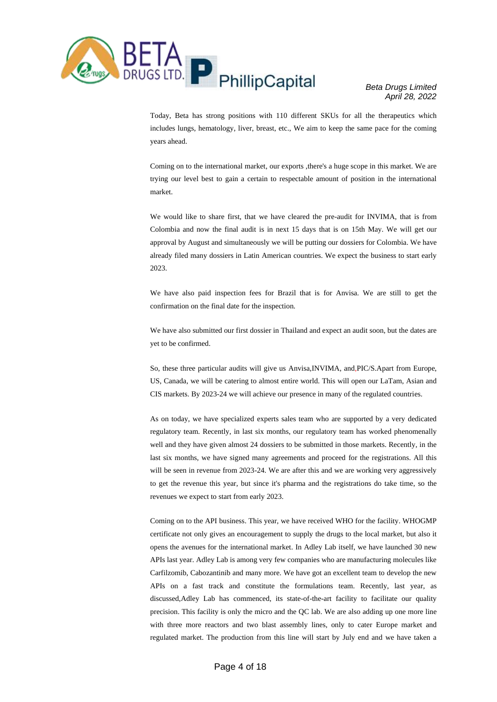

Today, Beta has strong positions with 110 different SKUs for all the therapeutics which includes lungs, hematology, liver, breast, etc., We aim to keep the same pace for the coming years ahead.

Coming on to the international market, our exports ,there's a huge scope in this market. We are trying our level best to gain a certain to respectable amount of position in the international market.

We would like to share first, that we have cleared the pre-audit for INVIMA, that is from Colombia and now the final audit is in next 15 days that is on 15th May. We will get our approval by August and simultaneously we will be putting our dossiers for Colombia. We have already filed many dossiers in Latin American countries. We expect the business to start early 2023.

We have also paid inspection fees for Brazil that is for Anvisa. We are still to get the confirmation on the final date for the inspection.

We have also submitted our first dossier in Thailand and expect an audit soon, but the dates are yet to be confirmed.

So, these three particular audits will give us Anvisa,INVIMA, and,PIC/S.Apart from Europe, US, Canada, we will be catering to almost entire world. This will open our LaTam, Asian and CIS markets. By 2023-24 we will achieve our presence in many of the regulated countries.

As on today, we have specialized experts sales team who are supported by a very dedicated regulatory team. Recently, in last six months, our regulatory team has worked phenomenally well and they have given almost 24 dossiers to be submitted in those markets. Recently, in the last six months, we have signed many agreements and proceed for the registrations. All this will be seen in revenue from 2023-24. We are after this and we are working very aggressively to get the revenue this year, but since it's pharma and the registrations do take time, so the revenues we expect to start from early 2023.

Coming on to the API business. This year, we have received WHO for the facility. WHOGMP certificate not only gives an encouragement to supply the drugs to the local market, but also it opens the avenues for the international market. In Adley Lab itself, we have launched 30 new APIs last year. Adley Lab is among very few companies who are manufacturing molecules like Carfilzomib, Cabozantinib and many more. We have got an excellent team to develop the new APIs on a fast track and constitute the formulations team. Recently, last year, as discussed,Adley Lab has commenced, its state-of-the-art facility to facilitate our quality precision. This facility is only the micro and the QC lab. We are also adding up one more line with three more reactors and two blast assembly lines, only to cater Europe market and regulated market. The production from this line will start by July end and we have taken a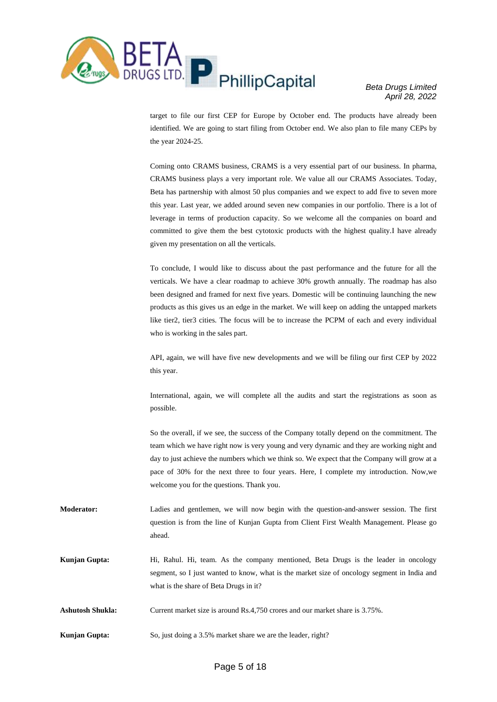

target to file our first CEP for Europe by October end. The products have already been identified. We are going to start filing from October end. We also plan to file many CEPs by the year 2024-25.

Coming onto CRAMS business, CRAMS is a very essential part of our business. In pharma, CRAMS business plays a very important role. We value all our CRAMS Associates. Today, Beta has partnership with almost 50 plus companies and we expect to add five to seven more this year. Last year, we added around seven new companies in our portfolio. There is a lot of leverage in terms of production capacity. So we welcome all the companies on board and committed to give them the best cytotoxic products with the highest quality.I have already given my presentation on all the verticals.

To conclude, I would like to discuss about the past performance and the future for all the verticals. We have a clear roadmap to achieve 30% growth annually. The roadmap has also been designed and framed for next five years. Domestic will be continuing launching the new products as this gives us an edge in the market. We will keep on adding the untapped markets like tier2, tier3 cities. The focus will be to increase the PCPM of each and every individual who is working in the sales part.

API, again, we will have five new developments and we will be filing our first CEP by 2022 this year.

International, again, we will complete all the audits and start the registrations as soon as possible.

So the overall, if we see, the success of the Company totally depend on the commitment. The team which we have right now is very young and very dynamic and they are working night and day to just achieve the numbers which we think so. We expect that the Company will grow at a pace of 30% for the next three to four years. Here, I complete my introduction. Now,we welcome you for the questions. Thank you.

- **Moderator:** Ladies and gentlemen, we will now begin with the question-and-answer session. The first question is from the line of Kunjan Gupta from Client First Wealth Management. Please go ahead.
- **Kunjan Gupta:** Hi, Rahul. Hi, team. As the company mentioned, Beta Drugs is the leader in oncology segment, so I just wanted to know, what is the market size of oncology segment in India and what is the share of Beta Drugs in it?
- **Ashutosh Shukla:** Current market size is around Rs.4,750 crores and our market share is 3.75%.
- **Kunjan Gupta:** So, just doing a 3.5% market share we are the leader, right?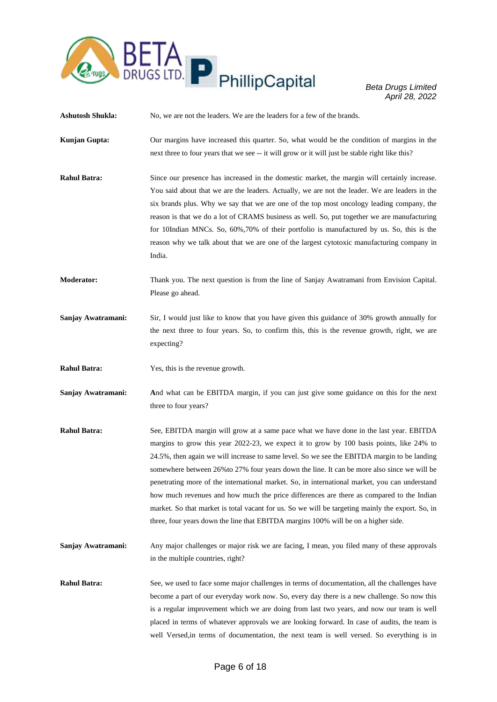

**Ashutosh Shukla:** No, we are not the leaders. We are the leaders for a few of the brands.

- **Kunjan Gupta:** Our margins have increased this quarter. So, what would be the condition of margins in the next three to four years that we see -- it will grow or it will just be stable right like this?
- **Rahul Batra:** Since our presence has increased in the domestic market, the margin will certainly increase. You said about that we are the leaders. Actually, we are not the leader. We are leaders in the six brands plus. Why we say that we are one of the top most oncology leading company, the reason is that we do a lot of CRAMS business as well. So, put together we are manufacturing for 10Indian MNCs. So, 60%,70% of their portfolio is manufactured by us. So, this is the reason why we talk about that we are one of the largest cytotoxic manufacturing company in India.

**Moderator:** Thank you. The next question is from the line of Sanjay Awatramani from Envision Capital. Please go ahead.

- **Sanjay Awatramani:** Sir, I would just like to know that you have given this guidance of 30% growth annually for the next three to four years. So, to confirm this, this is the revenue growth, right, we are expecting?
- **Rahul Batra:** Yes, this is the revenue growth.
- **Sanjay Awatramani: A**nd what can be EBITDA margin, if you can just give some guidance on this for the next three to four years?
- **Rahul Batra:** See, EBITDA margin will grow at a same pace what we have done in the last year. EBITDA margins to grow this year 2022-23, we expect it to grow by 100 basis points, like 24% to 24.5%, then again we will increase to same level. So we see the EBITDA margin to be landing somewhere between 26%to 27% four years down the line. It can be more also since we will be penetrating more of the international market. So, in international market, you can understand how much revenues and how much the price differences are there as compared to the Indian market. So that market is total vacant for us. So we will be targeting mainly the export. So, in three, four years down the line that EBITDA margins 100% will be on a higher side.
- **Sanjay Awatramani:** Any major challenges or major risk we are facing, I mean, you filed many of these approvals in the multiple countries, right?
- **Rahul Batra:** See, we used to face some major challenges in terms of documentation, all the challenges have become a part of our everyday work now. So, every day there is a new challenge. So now this is a regular improvement which we are doing from last two years, and now our team is well placed in terms of whatever approvals we are looking forward. In case of audits, the team is well Versed,in terms of documentation, the next team is well versed. So everything is in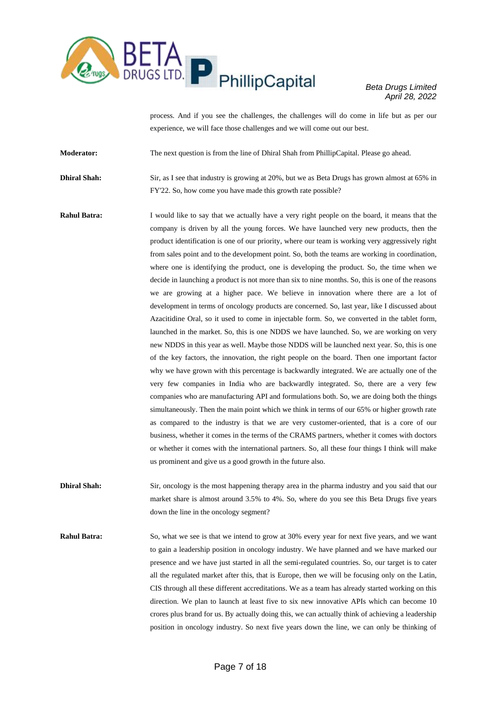

process. And if you see the challenges, the challenges will do come in life but as per our experience, we will face those challenges and we will come out our best.

**Moderator:** The next question is from the line of Dhiral Shah from PhillipCapital. Please go ahead.

**Dhiral Shah:** Sir, as I see that industry is growing at 20%, but we as Beta Drugs has grown almost at 65% in FY'22. So, how come you have made this growth rate possible?

**Rahul Batra:** I would like to say that we actually have a very right people on the board, it means that the company is driven by all the young forces. We have launched very new products, then the product identification is one of our priority, where our team is working very aggressively right from sales point and to the development point. So, both the teams are working in coordination, where one is identifying the product, one is developing the product. So, the time when we decide in launching a product is not more than six to nine months. So, this is one of the reasons we are growing at a higher pace. We believe in innovation where there are a lot of development in terms of oncology products are concerned. So, last year, like I discussed about Azacitidine Oral, so it used to come in injectable form. So, we converted in the tablet form, launched in the market. So, this is one NDDS we have launched. So, we are working on very new NDDS in this year as well. Maybe those NDDS will be launched next year. So, this is one of the key factors, the innovation, the right people on the board. Then one important factor why we have grown with this percentage is backwardly integrated. We are actually one of the very few companies in India who are backwardly integrated. So, there are a very few companies who are manufacturing API and formulations both. So, we are doing both the things simultaneously. Then the main point which we think in terms of our 65% or higher growth rate as compared to the industry is that we are very customer-oriented, that is a core of our business, whether it comes in the terms of the CRAMS partners, whether it comes with doctors or whether it comes with the international partners. So, all these four things I think will make us prominent and give us a good growth in the future also.

**Dhiral Shah:** Sir, oncology is the most happening therapy area in the pharma industry and you said that our market share is almost around 3.5% to 4%. So, where do you see this Beta Drugs five years down the line in the oncology segment?

**Rahul Batra:** So, what we see is that we intend to grow at 30% every year for next five years, and we want to gain a leadership position in oncology industry. We have planned and we have marked our presence and we have just started in all the semi-regulated countries. So, our target is to cater all the regulated market after this, that is Europe, then we will be focusing only on the Latin, CIS through all these different accreditations. We as a team has already started working on this direction. We plan to launch at least five to six new innovative APIs which can become 10 crores plus brand for us. By actually doing this, we can actually think of achieving a leadership position in oncology industry. So next five years down the line, we can only be thinking of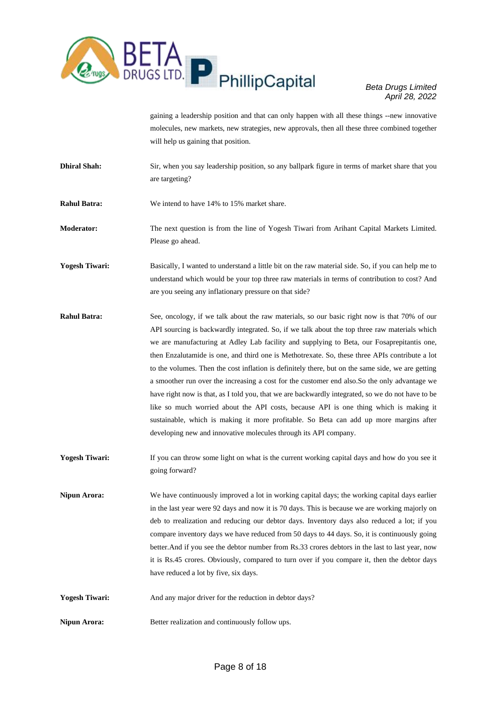

gaining a leadership position and that can only happen with all these things --new innovative molecules, new markets, new strategies, new approvals, then all these three combined together will help us gaining that position.

- **Dhiral Shah:** Sir, when you say leadership position, so any ballpark figure in terms of market share that you are targeting?
- **Rahul Batra:** We intend to have 14% to 15% market share.

**Moderator:** The next question is from the line of Yogesh Tiwari from Arihant Capital Markets Limited. Please go ahead.

**Yogesh Tiwari:** Basically, I wanted to understand a little bit on the raw material side. So, if you can help me to understand which would be your top three raw materials in terms of contribution to cost? And are you seeing any inflationary pressure on that side?

- **Rahul Batra:** See, oncology, if we talk about the raw materials, so our basic right now is that 70% of our API sourcing is backwardly integrated. So, if we talk about the top three raw materials which we are manufacturing at Adley Lab facility and supplying to Beta, our Fosaprepitantis one, then Enzalutamide is one, and third one is Methotrexate. So, these three APIs contribute a lot to the volumes. Then the cost inflation is definitely there, but on the same side, we are getting a smoother run over the increasing a cost for the customer end also.So the only advantage we have right now is that, as I told you, that we are backwardly integrated, so we do not have to be like so much worried about the API costs, because API is one thing which is making it sustainable, which is making it more profitable. So Beta can add up more margins after developing new and innovative molecules through its API company.
- **Yogesh Tiwari:** If you can throw some light on what is the current working capital days and how do you see it going forward?

**Nipun Arora:** We have continuously improved a lot in working capital days; the working capital days earlier in the last year were 92 days and now it is 70 days. This is because we are working majorly on deb to rrealization and reducing our debtor days. Inventory days also reduced a lot; if you compare inventory days we have reduced from 50 days to 44 days. So, it is continuously going better.And if you see the debtor number from Rs.33 crores debtors in the last to last year, now it is Rs.45 crores. Obviously, compared to turn over if you compare it, then the debtor days have reduced a lot by five, six days.

- **Yogesh Tiwari:** And any major driver for the reduction in debtor days?
- **Nipun Arora:** Better realization and continuously follow ups.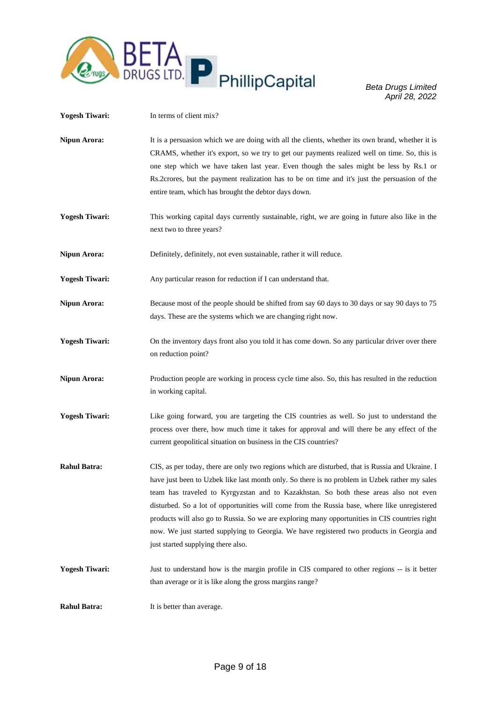

| <b>Yogesh Tiwari:</b> | In terms of client mix?                                                                                                                                                                                                                                                                                                                                                                                                                                                                                                                                                                                                        |
|-----------------------|--------------------------------------------------------------------------------------------------------------------------------------------------------------------------------------------------------------------------------------------------------------------------------------------------------------------------------------------------------------------------------------------------------------------------------------------------------------------------------------------------------------------------------------------------------------------------------------------------------------------------------|
| <b>Nipun Arora:</b>   | It is a persuasion which we are doing with all the clients, whether its own brand, whether it is<br>CRAMS, whether it's export, so we try to get our payments realized well on time. So, this is<br>one step which we have taken last year. Even though the sales might be less by Rs.1 or<br>Rs. 2crores, but the payment realization has to be on time and it's just the persuasion of the<br>entire team, which has brought the debtor days down.                                                                                                                                                                           |
| <b>Yogesh Tiwari:</b> | This working capital days currently sustainable, right, we are going in future also like in the<br>next two to three years?                                                                                                                                                                                                                                                                                                                                                                                                                                                                                                    |
| <b>Nipun Arora:</b>   | Definitely, definitely, not even sustainable, rather it will reduce.                                                                                                                                                                                                                                                                                                                                                                                                                                                                                                                                                           |
| <b>Yogesh Tiwari:</b> | Any particular reason for reduction if I can understand that.                                                                                                                                                                                                                                                                                                                                                                                                                                                                                                                                                                  |
| <b>Nipun Arora:</b>   | Because most of the people should be shifted from say 60 days to 30 days or say 90 days to 75<br>days. These are the systems which we are changing right now.                                                                                                                                                                                                                                                                                                                                                                                                                                                                  |
| <b>Yogesh Tiwari:</b> | On the inventory days front also you told it has come down. So any particular driver over there<br>on reduction point?                                                                                                                                                                                                                                                                                                                                                                                                                                                                                                         |
| <b>Nipun Arora:</b>   | Production people are working in process cycle time also. So, this has resulted in the reduction<br>in working capital.                                                                                                                                                                                                                                                                                                                                                                                                                                                                                                        |
| <b>Yogesh Tiwari:</b> | Like going forward, you are targeting the CIS countries as well. So just to understand the<br>process over there, how much time it takes for approval and will there be any effect of the<br>current geopolitical situation on business in the CIS countries?                                                                                                                                                                                                                                                                                                                                                                  |
| <b>Rahul Batra:</b>   | CIS, as per today, there are only two regions which are disturbed, that is Russia and Ukraine. I<br>have just been to Uzbek like last month only. So there is no problem in Uzbek rather my sales<br>team has traveled to Kyrgyzstan and to Kazakhstan. So both these areas also not even<br>disturbed. So a lot of opportunities will come from the Russia base, where like unregistered<br>products will also go to Russia. So we are exploring many opportunities in CIS countries right<br>now. We just started supplying to Georgia. We have registered two products in Georgia and<br>just started supplying there also. |
| <b>Yogesh Tiwari:</b> | Just to understand how is the margin profile in CIS compared to other regions -- is it better<br>than average or it is like along the gross margins range?                                                                                                                                                                                                                                                                                                                                                                                                                                                                     |
| <b>Rahul Batra:</b>   | It is better than average.                                                                                                                                                                                                                                                                                                                                                                                                                                                                                                                                                                                                     |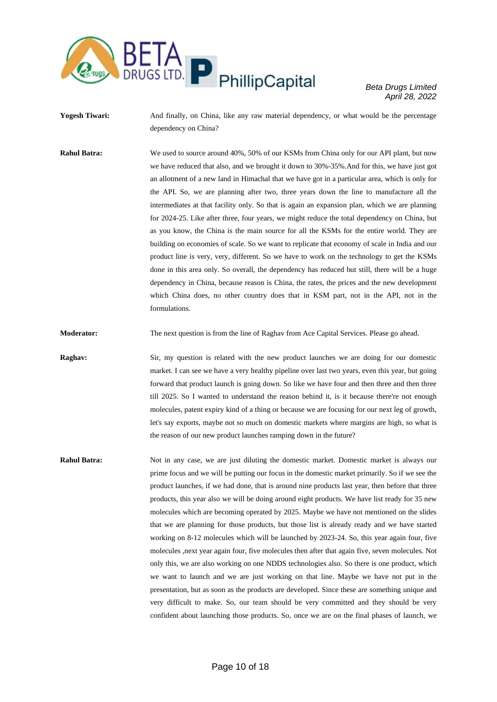

Yogesh Tiwari: And finally, on China, like any raw material dependency, or what would be the percentage dependency on China?

**Rahul Batra:** We used to source around 40%, 50% of our KSMs from China only for our API plant, but now we have reduced that also, and we brought it down to 30%-35%.And for this, we have just got an allotment of a new land in Himachal that we have got in a particular area, which is only for the API. So, we are planning after two, three years down the line to manufacture all the intermediates at that facility only. So that is again an expansion plan, which we are planning for 2024-25. Like after three, four years, we might reduce the total dependency on China, but as you know, the China is the main source for all the KSMs for the entire world. They are building on economies of scale. So we want to replicate that economy of scale in India and our product line is very, very, different. So we have to work on the technology to get the KSMs done in this area only. So overall, the dependency has reduced but still, there will be a huge dependency in China, because reason is China, the rates, the prices and the new development which China does, no other country does that in KSM part, not in the API, not in the formulations.

**Moderator:** The next question is from the line of Raghav from Ace Capital Services. Please go ahead.

**Raghav:** Sir, my question is related with the new product launches we are doing for our domestic market. I can see we have a very healthy pipeline over last two years, even this year, but going forward that product launch is going down. So like we have four and then three and then three till 2025. So I wanted to understand the reason behind it, is it because there're not enough molecules, patent expiry kind of a thing or because we are focusing for our next leg of growth, let's say exports, maybe not so much on domestic markets where margins are high, so what is the reason of our new product launches ramping down in the future?

**Rahul Batra:** Not in any case, we are just diluting the domestic market. Domestic market is always our prime focus and we will be putting our focus in the domestic market primarily. So if we see the product launches, if we had done, that is around nine products last year, then before that three products, this year also we will be doing around eight products. We have list ready for 35 new molecules which are becoming operated by 2025. Maybe we have not mentioned on the slides that we are planning for those products, but those list is already ready and we have started working on 8-12 molecules which will be launched by 2023-24. So, this year again four, five molecules ,next year again four, five molecules then after that again five, seven molecules. Not only this, we are also working on one NDDS technologies also. So there is one product, which we want to launch and we are just working on that line. Maybe we have not put in the presentation, but as soon as the products are developed. Since these are something unique and very difficult to make. So, our team should be very committed and they should be very confident about launching those products. So, once we are on the final phases of launch, we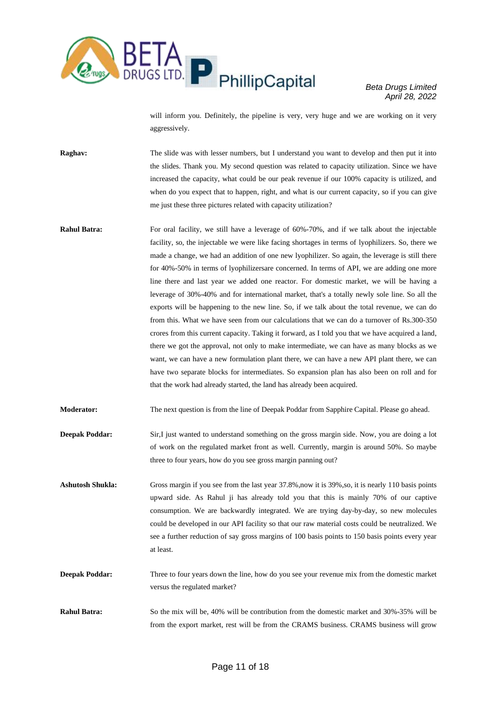

will inform you. Definitely, the pipeline is very, very huge and we are working on it very aggressively.

**Raghav:** The slide was with lesser numbers, but I understand you want to develop and then put it into the slides. Thank you. My second question was related to capacity utilization. Since we have increased the capacity, what could be our peak revenue if our 100% capacity is utilized, and when do you expect that to happen, right, and what is our current capacity, so if you can give me just these three pictures related with capacity utilization?

- **Rahul Batra:** For oral facility, we still have a leverage of 60%-70%, and if we talk about the injectable facility, so, the injectable we were like facing shortages in terms of lyophilizers. So, there we made a change, we had an addition of one new lyophilizer. So again, the leverage is still there for 40%-50% in terms of lyophilizersare concerned. In terms of API, we are adding one more line there and last year we added one reactor. For domestic market, we will be having a leverage of 30%-40% and for international market, that's a totally newly sole line. So all the exports will be happening to the new line. So, if we talk about the total revenue, we can do from this. What we have seen from our calculations that we can do a turnover of Rs.300-350 crores from this current capacity. Taking it forward, as I told you that we have acquired a land, there we got the approval, not only to make intermediate, we can have as many blocks as we want, we can have a new formulation plant there, we can have a new API plant there, we can have two separate blocks for intermediates. So expansion plan has also been on roll and for that the work had already started, the land has already been acquired.
- **Moderator:** The next question is from the line of Deepak Poddar from Sapphire Capital. Please go ahead.
- **Deepak Poddar:** Sir,I just wanted to understand something on the gross margin side. Now, you are doing a lot of work on the regulated market front as well. Currently, margin is around 50%. So maybe three to four years, how do you see gross margin panning out?
- Ashutosh Shukla: Gross margin if you see from the last year 37.8%,now it is 39%,so, it is nearly 110 basis points upward side. As Rahul ji has already told you that this is mainly 70% of our captive consumption. We are backwardly integrated. We are trying day-by-day, so new molecules could be developed in our API facility so that our raw material costs could be neutralized. We see a further reduction of say gross margins of 100 basis points to 150 basis points every year at least.
- **Deepak Poddar:** Three to four years down the line, how do you see your revenue mix from the domestic market versus the regulated market?
- **Rahul Batra:** So the mix will be, 40% will be contribution from the domestic market and 30%-35% will be from the export market, rest will be from the CRAMS business. CRAMS business will grow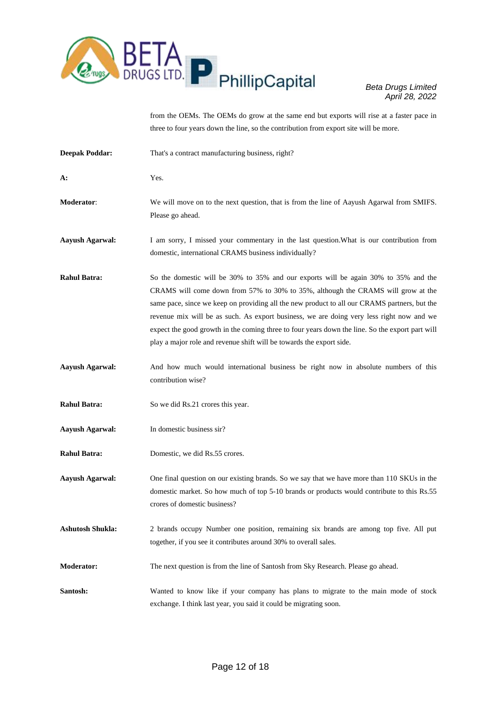

from the OEMs. The OEMs do grow at the same end but exports will rise at a faster pace in three to four years down the line, so the contribution from export site will be more.

| <b>Deepak Poddar:</b>   | That's a contract manufacturing business, right?                                                                                                                                                                                                                                                                                                                                                                                                                                                                                               |
|-------------------------|------------------------------------------------------------------------------------------------------------------------------------------------------------------------------------------------------------------------------------------------------------------------------------------------------------------------------------------------------------------------------------------------------------------------------------------------------------------------------------------------------------------------------------------------|
| A:                      | Yes.                                                                                                                                                                                                                                                                                                                                                                                                                                                                                                                                           |
| Moderator:              | We will move on to the next question, that is from the line of Aayush Agarwal from SMIFS.<br>Please go ahead.                                                                                                                                                                                                                                                                                                                                                                                                                                  |
| <b>Aayush Agarwal:</b>  | I am sorry, I missed your commentary in the last question. What is our contribution from<br>domestic, international CRAMS business individually?                                                                                                                                                                                                                                                                                                                                                                                               |
| <b>Rahul Batra:</b>     | So the domestic will be 30% to 35% and our exports will be again 30% to 35% and the<br>CRAMS will come down from 57% to 30% to 35%, although the CRAMS will grow at the<br>same pace, since we keep on providing all the new product to all our CRAMS partners, but the<br>revenue mix will be as such. As export business, we are doing very less right now and we<br>expect the good growth in the coming three to four years down the line. So the export part will<br>play a major role and revenue shift will be towards the export side. |
| <b>Aayush Agarwal:</b>  | And how much would international business be right now in absolute numbers of this<br>contribution wise?                                                                                                                                                                                                                                                                                                                                                                                                                                       |
| <b>Rahul Batra:</b>     | So we did Rs.21 crores this year.                                                                                                                                                                                                                                                                                                                                                                                                                                                                                                              |
| <b>Aayush Agarwal:</b>  | In domestic business sir?                                                                                                                                                                                                                                                                                                                                                                                                                                                                                                                      |
| <b>Rahul Batra:</b>     | Domestic, we did Rs.55 crores.                                                                                                                                                                                                                                                                                                                                                                                                                                                                                                                 |
| <b>Aayush Agarwal:</b>  | One final question on our existing brands. So we say that we have more than 110 SKUs in the<br>domestic market. So how much of top 5-10 brands or products would contribute to this Rs.55<br>crores of domestic business?                                                                                                                                                                                                                                                                                                                      |
| <b>Ashutosh Shukla:</b> | 2 brands occupy Number one position, remaining six brands are among top five. All put<br>together, if you see it contributes around 30% to overall sales.                                                                                                                                                                                                                                                                                                                                                                                      |
| <b>Moderator:</b>       | The next question is from the line of Santosh from Sky Research. Please go ahead.                                                                                                                                                                                                                                                                                                                                                                                                                                                              |
| Santosh:                | Wanted to know like if your company has plans to migrate to the main mode of stock<br>exchange. I think last year, you said it could be migrating soon.                                                                                                                                                                                                                                                                                                                                                                                        |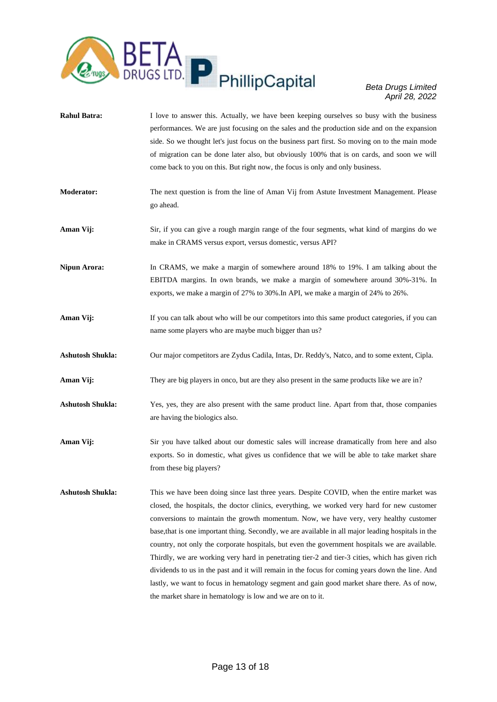

- **Rahul Batra:** I love to answer this. Actually, we have been keeping ourselves so busy with the business performances. We are just focusing on the sales and the production side and on the expansion side. So we thought let's just focus on the business part first. So moving on to the main mode of migration can be done later also, but obviously 100% that is on cards, and soon we will come back to you on this. But right now, the focus is only and only business.
- **Moderator:** The next question is from the line of Aman Vij from Astute Investment Management. Please go ahead.
- **Aman Vij:** Sir, if you can give a rough margin range of the four segments, what kind of margins do we make in CRAMS versus export, versus domestic, versus API?
- **Nipun Arora:** In CRAMS, we make a margin of somewhere around 18% to 19%. I am talking about the EBITDA margins. In own brands, we make a margin of somewhere around 30%-31%. In exports, we make a margin of 27% to 30%.In API, we make a margin of 24% to 26%.
- **Aman Vij:** If you can talk about who will be our competitors into this same product categories, if you can name some players who are maybe much bigger than us?
- **Ashutosh Shukla:** Our major competitors are Zydus Cadila, Intas, Dr. Reddy's, Natco, and to some extent, Cipla.
- **Aman Vij:** They are big players in onco, but are they also present in the same products like we are in?
- **Ashutosh Shukla:** Yes, yes, they are also present with the same product line. Apart from that, those companies are having the biologics also.
- **Aman Vij:** Sir you have talked about our domestic sales will increase dramatically from here and also exports. So in domestic, what gives us confidence that we will be able to take market share from these big players?
- **Ashutosh Shukla:** This we have been doing since last three years. Despite COVID, when the entire market was closed, the hospitals, the doctor clinics, everything, we worked very hard for new customer conversions to maintain the growth momentum. Now, we have very, very healthy customer base,that is one important thing. Secondly, we are available in all major leading hospitals in the country, not only the corporate hospitals, but even the government hospitals we are available. Thirdly, we are working very hard in penetrating tier-2 and tier-3 cities, which has given rich dividends to us in the past and it will remain in the focus for coming years down the line. And lastly, we want to focus in hematology segment and gain good market share there. As of now, the market share in hematology is low and we are on to it.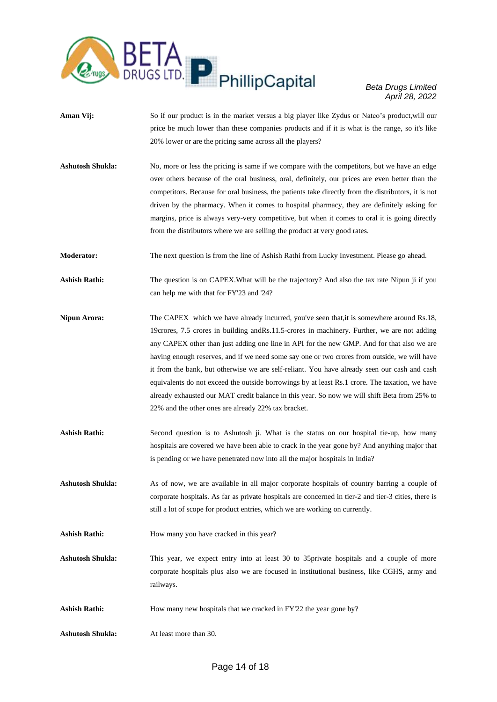

- **Aman Vij:** So if our product is in the market versus a big player like Zydus or Natco's product, will our price be much lower than these companies products and if it is what is the range, so it's like 20% lower or are the pricing same across all the players?
- Ashutosh Shukla: No, more or less the pricing is same if we compare with the competitors, but we have an edge over others because of the oral business, oral, definitely, our prices are even better than the competitors. Because for oral business, the patients take directly from the distributors, it is not driven by the pharmacy. When it comes to hospital pharmacy, they are definitely asking for margins, price is always very-very competitive, but when it comes to oral it is going directly from the distributors where we are selling the product at very good rates.
- **Moderator:** The next question is from the line of Ashish Rathi from Lucky Investment. Please go ahead.
- Ashish Rathi: The question is on CAPEX. What will be the trajectory? And also the tax rate Nipun ji if you can help me with that for FY'23 and '24?
- **Nipun Arora:** The CAPEX which we have already incurred, you've seen that, it is somewhere around Rs.18, 19crores, 7.5 crores in building andRs.11.5-crores in machinery. Further, we are not adding any CAPEX other than just adding one line in API for the new GMP. And for that also we are having enough reserves, and if we need some say one or two crores from outside, we will have it from the bank, but otherwise we are self-reliant. You have already seen our cash and cash equivalents do not exceed the outside borrowings by at least Rs.1 crore. The taxation, we have already exhausted our MAT credit balance in this year. So now we will shift Beta from 25% to 22% and the other ones are already 22% tax bracket.
- **Ashish Rathi:** Second question is to Ashutosh ji. What is the status on our hospital tie-up, how many hospitals are covered we have been able to crack in the year gone by? And anything major that is pending or we have penetrated now into all the major hospitals in India?
- **Ashutosh Shukla:** As of now, we are available in all major corporate hospitals of country barring a couple of corporate hospitals. As far as private hospitals are concerned in tier-2 and tier-3 cities, there is still a lot of scope for product entries, which we are working on currently.
- Ashish Rathi: How many you have cracked in this year?
- Ashutosh Shukla: This year, we expect entry into at least 30 to 35private hospitals and a couple of more corporate hospitals plus also we are focused in institutional business, like CGHS, army and railways.
- Ashish Rathi: How many new hospitals that we cracked in FY'22 the year gone by?
- **Ashutosh Shukla:** At least more than 30.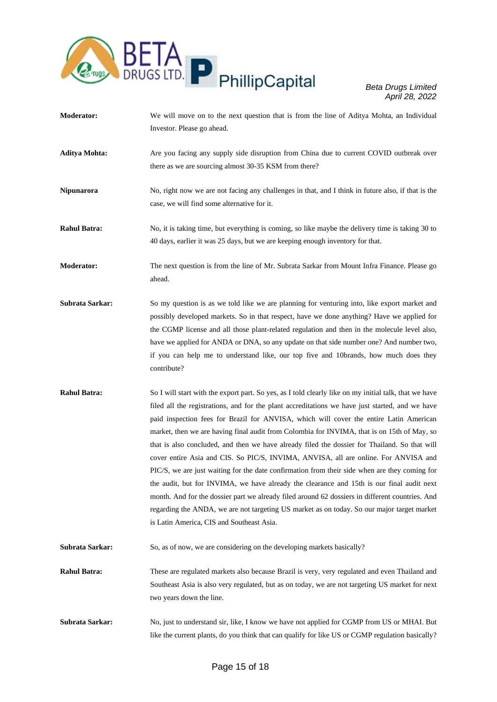

- **Moderator:** We will move on to the next question that is from the line of Aditya Mohta, an Individual Investor. Please go ahead.
- **Aditya Mohta:** Are you facing any supply side disruption from China due to current COVID outbreak over there as we are sourcing almost 30-35 KSM from there?
- **Nipunarora** No, right now we are not facing any challenges in that, and I think in future also, if that is the case, we will find some alternative for it.
- **Rahul Batra:** No, it is taking time, but everything is coming, so like maybe the delivery time is taking 30 to 40 days, earlier it was 25 days, but we are keeping enough inventory for that.
- **Moderator:** The next question is from the line of Mr. Subrata Sarkar from Mount Infra Finance. Please go ahead.
- **Subrata Sarkar:** So my question is as we told like we are planning for venturing into, like export market and possibly developed markets. So in that respect, have we done anything? Have we applied for the CGMP license and all those plant-related regulation and then in the molecule level also, have we applied for ANDA or DNA, so any update on that side number one? And number two, if you can help me to understand like, our top five and 10brands, how much does they contribute?
- **Rahul Batra:** So I will start with the export part. So yes, as I told clearly like on my initial talk, that we have filed all the registrations, and for the plant accreditations we have just started, and we have paid inspection fees for Brazil for ANVISA, which will cover the entire Latin American market, then we are having final audit from Colombia for INVIMA, that is on 15th of May, so that is also concluded, and then we have already filed the dossier for Thailand. So that will cover entire Asia and CIS. So PIC/S, INVIMA, ANVISA, all are online. For ANVISA and PIC/S, we are just waiting for the date confirmation from their side when are they coming for the audit, but for INVIMA, we have already the clearance and 15th is our final audit next month. And for the dossier part we already filed around 62 dossiers in different countries. And regarding the ANDA, we are not targeting US market as on today. So our major target market is Latin America, CIS and Southeast Asia.
- **Subrata Sarkar:** So, as of now, we are considering on the developing markets basically?
- **Rahul Batra:** These are regulated markets also because Brazil is very, very regulated and even Thailand and Southeast Asia is also very regulated, but as on today, we are not targeting US market for next two years down the line.
- **Subrata Sarkar:** No, just to understand sir, like, I know we have not applied for CGMP from US or MHAI. But like the current plants, do you think that can qualify for like US or CGMP regulation basically?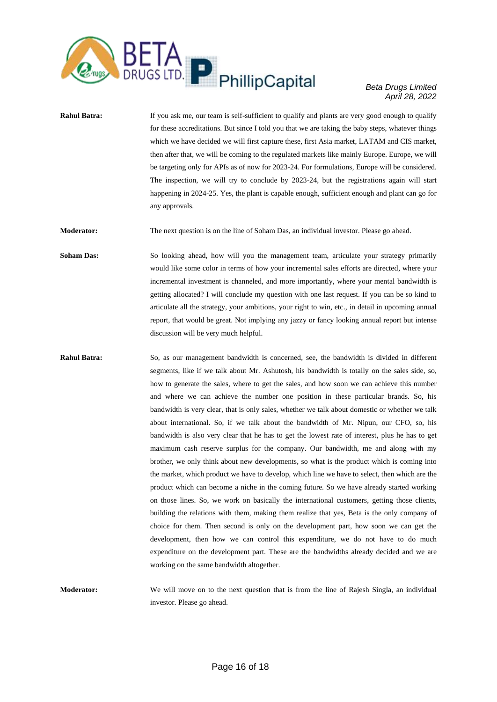

**Rahul Batra:** If you ask me, our team is self-sufficient to qualify and plants are very good enough to qualify for these accreditations. But since I told you that we are taking the baby steps, whatever things which we have decided we will first capture these, first Asia market, LATAM and CIS market, then after that, we will be coming to the regulated markets like mainly Europe. Europe, we will be targeting only for APIs as of now for 2023-24. For formulations, Europe will be considered. The inspection, we will try to conclude by 2023-24, but the registrations again will start happening in 2024-25. Yes, the plant is capable enough, sufficient enough and plant can go for any approvals.

**Moderator:** The next question is on the line of Soham Das, an individual investor. Please go ahead.

Soham Das: So looking ahead, how will you the management team, articulate your strategy primarily would like some color in terms of how your incremental sales efforts are directed, where your incremental investment is channeled, and more importantly, where your mental bandwidth is getting allocated? I will conclude my question with one last request. If you can be so kind to articulate all the strategy, your ambitions, your right to win, etc., in detail in upcoming annual report, that would be great. Not implying any jazzy or fancy looking annual report but intense discussion will be very much helpful.

- **Rahul Batra:** So, as our management bandwidth is concerned, see, the bandwidth is divided in different segments, like if we talk about Mr. Ashutosh, his bandwidth is totally on the sales side, so, how to generate the sales, where to get the sales, and how soon we can achieve this number and where we can achieve the number one position in these particular brands. So, his bandwidth is very clear, that is only sales, whether we talk about domestic or whether we talk about international. So, if we talk about the bandwidth of Mr. Nipun, our CFO, so, his bandwidth is also very clear that he has to get the lowest rate of interest, plus he has to get maximum cash reserve surplus for the company. Our bandwidth, me and along with my brother, we only think about new developments, so what is the product which is coming into the market, which product we have to develop, which line we have to select, then which are the product which can become a niche in the coming future. So we have already started working on those lines. So, we work on basically the international customers, getting those clients, building the relations with them, making them realize that yes, Beta is the only company of choice for them. Then second is only on the development part, how soon we can get the development, then how we can control this expenditure, we do not have to do much expenditure on the development part. These are the bandwidths already decided and we are working on the same bandwidth altogether.
- **Moderator:** We will move on to the next question that is from the line of Rajesh Singla, an individual investor. Please go ahead.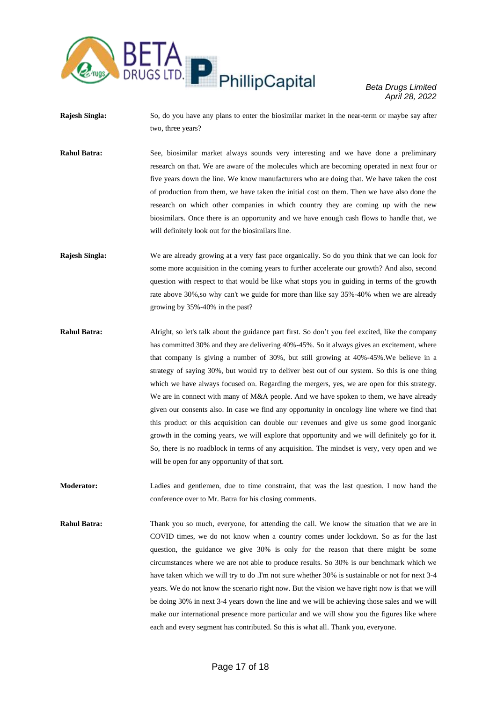

- **Rajesh Singla:** So, do you have any plans to enter the biosimilar market in the near-term or maybe say after two, three years?
- **Rahul Batra:** See, biosimilar market always sounds very interesting and we have done a preliminary research on that. We are aware of the molecules which are becoming operated in next four or five years down the line. We know manufacturers who are doing that. We have taken the cost of production from them, we have taken the initial cost on them. Then we have also done the research on which other companies in which country they are coming up with the new biosimilars. Once there is an opportunity and we have enough cash flows to handle that, we will definitely look out for the biosimilars line.
- **Rajesh Singla:** We are already growing at a very fast pace organically. So do you think that we can look for some more acquisition in the coming years to further accelerate our growth? And also, second question with respect to that would be like what stops you in guiding in terms of the growth rate above 30%,so why can't we guide for more than like say 35%-40% when we are already growing by 35%-40% in the past?
- **Rahul Batra:** Alright, so let's talk about the guidance part first. So don't you feel excited, like the company has committed 30% and they are delivering 40%-45%. So it always gives an excitement, where that company is giving a number of 30%, but still growing at 40%-45%.We believe in a strategy of saying 30%, but would try to deliver best out of our system. So this is one thing which we have always focused on. Regarding the mergers, yes, we are open for this strategy. We are in connect with many of M&A people. And we have spoken to them, we have already given our consents also. In case we find any opportunity in oncology line where we find that this product or this acquisition can double our revenues and give us some good inorganic growth in the coming years, we will explore that opportunity and we will definitely go for it. So, there is no roadblock in terms of any acquisition. The mindset is very, very open and we will be open for any opportunity of that sort.
- **Moderator:** Ladies and gentlemen, due to time constraint, that was the last question. I now hand the conference over to Mr. Batra for his closing comments.
- **Rahul Batra:** Thank you so much, everyone, for attending the call. We know the situation that we are in COVID times, we do not know when a country comes under lockdown. So as for the last question, the guidance we give 30% is only for the reason that there might be some circumstances where we are not able to produce results. So 30% is our benchmark which we have taken which we will try to do .I'm not sure whether 30% is sustainable or not for next 3-4 years. We do not know the scenario right now. But the vision we have right now is that we will be doing 30% in next 3-4 years down the line and we will be achieving those sales and we will make our international presence more particular and we will show you the figures like where each and every segment has contributed. So this is what all. Thank you, everyone.